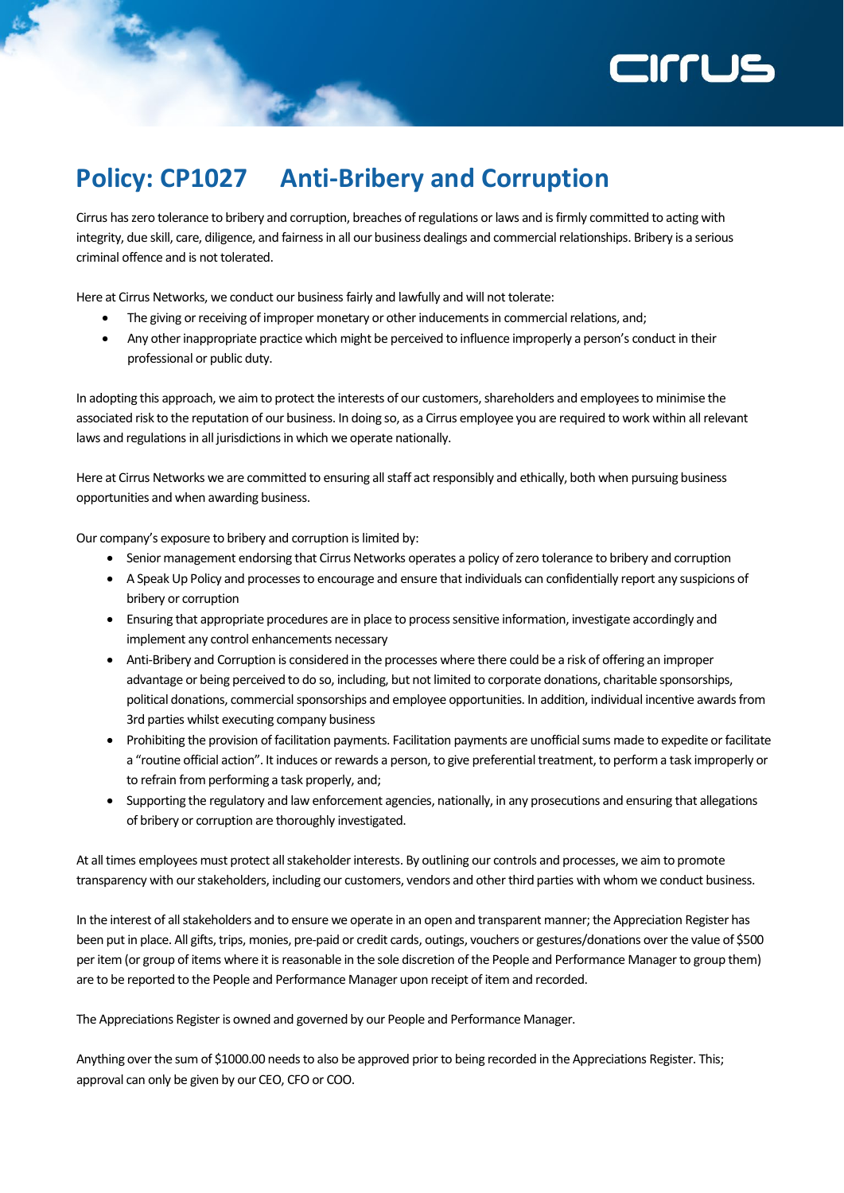

## **Policy: CP1027 Anti-Bribery and Corruption**

Cirrus has zero tolerance to bribery and corruption, breaches of regulations or laws and is firmly committed to acting with integrity, due skill, care, diligence, and fairness in all our business dealings and commercial relationships. Bribery is a serious criminal offence and is not tolerated.

Here at Cirrus Networks, we conduct our business fairly and lawfully and will not tolerate:

- The giving or receiving of improper monetary or other inducements in commercial relations, and;
- Any other inappropriate practice which might be perceived to influence improperly a person's conduct in their professional or public duty.

In adopting this approach, we aim to protect the interests of our customers, shareholders and employees to minimise the associated risk to the reputation of our business. In doing so, as a Cirrus employee you are required to work within all relevant laws and regulations in all jurisdictions in which we operate nationally.

Here at Cirrus Networks we are committed to ensuring all staff act responsibly and ethically, both when pursuing business opportunities and when awarding business.

Our company's exposure to bribery and corruption is limited by:

- Senior management endorsing that Cirrus Networks operates a policy of zero tolerance to bribery and corruption
- A Speak Up Policy and processes to encourage and ensure that individuals can confidentially report any suspicions of bribery or corruption
- Ensuring that appropriate procedures are in place to process sensitive information, investigate accordingly and implement any control enhancements necessary
- Anti-Bribery and Corruption is considered in the processes where there could be a risk of offering an improper advantage or being perceived to do so, including, but not limited to corporate donations, charitable sponsorships, political donations, commercial sponsorships and employee opportunities. In addition, individual incentive awards from 3rd parties whilst executing company business
- Prohibiting the provision of facilitation payments. Facilitation payments are unofficial sums made to expedite or facilitate a "routine official action". It induces or rewards a person, to give preferential treatment, to perform a task improperly or to refrain from performing a task properly, and;
- Supporting the regulatory and law enforcement agencies, nationally, in any prosecutions and ensuring that allegations of bribery or corruption are thoroughly investigated.

At all times employees must protect all stakeholder interests. By outlining our controls and processes, we aim to promote transparency with our stakeholders, including our customers, vendors and other third parties with whom we conduct business.

In the interest of all stakeholders and to ensure we operate in an open and transparent manner; the Appreciation Register has been put in place. All gifts, trips, monies, pre-paid or credit cards, outings, vouchers or gestures/donations over the value of \$500 per item (or group of items where it is reasonable in the sole discretion of the People and Performance Manager to group them) are to be reported to the People and Performance Manager upon receipt of item and recorded.

The Appreciations Register is owned and governed by our People and Performance Manager.

Anything over the sum of \$1000.00 needs to also be approved prior to being recorded in the Appreciations Register. This; approval can only be given by our CEO, CFO or COO.